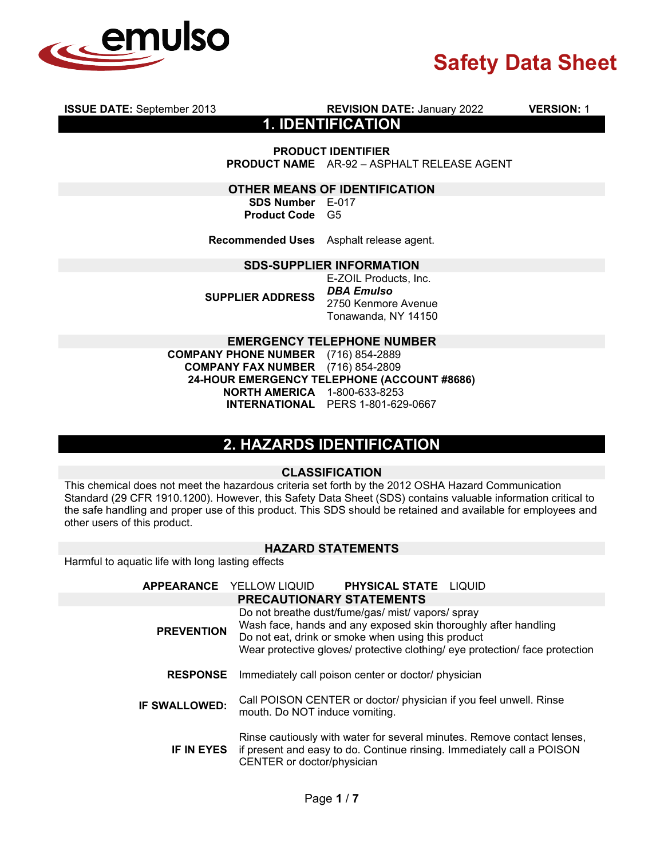

**ISSUE DATE:** September 2013 **REVISION DATE:** January 2022 **VERSION:** 1

**1. IDENTIFICATION**

**PRODUCT IDENTIFIER**

**PRODUCT NAME** AR-92 – ASPHALT RELEASE AGENT

**OTHER MEANS OF IDENTIFICATION**

**SDS Number** E-017 **Product Code** G5

**Recommended Uses** Asphalt release agent.

#### **SDS-SUPPLIER INFORMATION**

**SUPPLIER ADDRESS** E-ZOIL Products, Inc. *DBA Emulso*  2750 Kenmore Avenue Tonawanda, NY 14150

#### **EMERGENCY TELEPHONE NUMBER**

**COMPANY PHONE NUMBER** (716) 854-2889 **COMPANY FAX NUMBER** (716) 854-2809 **24-HOUR EMERGENCY TELEPHONE (ACCOUNT #8686) NORTH AMERICA** 1-800-633-8253 **INTERNATIONAL** PERS 1-801-629-0667

### **2. HAZARDS IDENTIFICATION**

#### **CLASSIFICATION**

This chemical does not meet the hazardous criteria set forth by the 2012 OSHA Hazard Communication Standard (29 CFR 1910.1200). However, this Safety Data Sheet (SDS) contains valuable information critical to the safe handling and proper use of this product. This SDS should be retained and available for employees and other users of this product.

### **HAZARD STATEMENTS**

Harmful to aquatic life with long lasting effects

|                      | APPEARANCE YELLOW LIQUID PHYSICAL STATE LIQUID                                                                                                                                                                                                             |
|----------------------|------------------------------------------------------------------------------------------------------------------------------------------------------------------------------------------------------------------------------------------------------------|
|                      | <b>PRECAUTIONARY STATEMENTS</b>                                                                                                                                                                                                                            |
| <b>PREVENTION</b>    | Do not breathe dust/fume/gas/ mist/ vapors/ spray<br>Wash face, hands and any exposed skin thoroughly after handling<br>Do not eat, drink or smoke when using this product<br>Wear protective gloves/ protective clothing/ eye protection/ face protection |
| <b>RESPONSE</b>      | Immediately call poison center or doctor/ physician                                                                                                                                                                                                        |
| <b>IF SWALLOWED:</b> | Call POISON CENTER or doctor/ physician if you feel unwell. Rinse<br>mouth. Do NOT induce vomiting.                                                                                                                                                        |
|                      | Rinse cautiously with water for several minutes. Remove contact lenses,<br>IF IN EYES if present and easy to do. Continue rinsing. Immediately call a POISON<br>CENTER or doctor/physician                                                                 |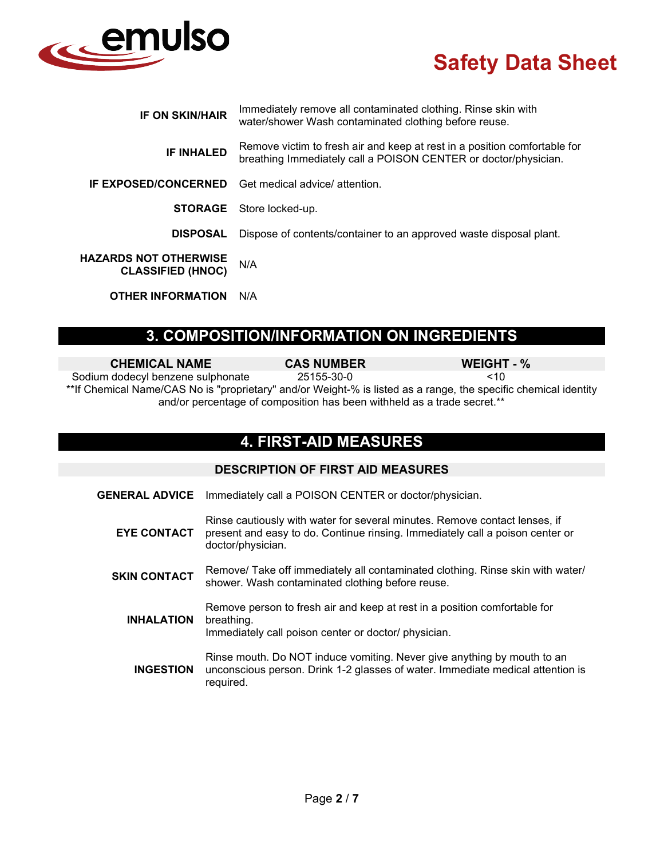

| <b>IF ON SKIN/HAIR</b>                                   | Immediately remove all contaminated clothing. Rinse skin with<br>water/shower Wash contaminated clothing before reuse.                       |
|----------------------------------------------------------|----------------------------------------------------------------------------------------------------------------------------------------------|
| <b>IF INHALED</b>                                        | Remove victim to fresh air and keep at rest in a position comfortable for<br>breathing Immediately call a POISON CENTER or doctor/physician. |
| <b>IF EXPOSED/CONCERNED</b>                              | Get medical advice/ attention.                                                                                                               |
|                                                          | <b>STORAGE</b> Store locked-up.                                                                                                              |
| <b>DISPOSAL</b>                                          | Dispose of contents/container to an approved waste disposal plant.                                                                           |
| <b>HAZARDS NOT OTHERWISE</b><br><b>CLASSIFIED (HNOC)</b> | N/A                                                                                                                                          |
| <b>OTHER INFORMATION</b>                                 | N/A                                                                                                                                          |

## **3. COMPOSITION/INFORMATION ON INGREDIENTS**

| <b>CHEMICAL NAME</b>              | <b>CAS NUMBER</b> | WEIGHT - %                                                                                                                                                                                 |
|-----------------------------------|-------------------|--------------------------------------------------------------------------------------------------------------------------------------------------------------------------------------------|
| Sodium dodecyl benzene sulphonate | 25155-30-0        | <10                                                                                                                                                                                        |
|                                   |                   | **If Chemical Name/CAS No is "proprietary" and/or Weight-% is listed as a range, the specific chemical identity<br>and/or percentage of composition has been withheld as a trade secret.** |

## **4. FIRST-AID MEASURES**

|                       | <b>DESCRIPTION OF FIRST AID MEASURES</b>                                                                                                                                         |
|-----------------------|----------------------------------------------------------------------------------------------------------------------------------------------------------------------------------|
| <b>GENERAL ADVICE</b> | Immediately call a POISON CENTER or doctor/physician.                                                                                                                            |
| <b>EYE CONTACT</b>    | Rinse cautiously with water for several minutes. Remove contact lenses, if<br>present and easy to do. Continue rinsing. Immediately call a poison center or<br>doctor/physician. |
| <b>SKIN CONTACT</b>   | Remove/ Take off immediately all contaminated clothing. Rinse skin with water/<br>shower. Wash contaminated clothing before reuse.                                               |
| <b>INHALATION</b>     | Remove person to fresh air and keep at rest in a position comfortable for<br>breathing.<br>Immediately call poison center or doctor/ physician.                                  |
| <b>INGESTION</b>      | Rinse mouth. Do NOT induce vomiting. Never give anything by mouth to an<br>unconscious person. Drink 1-2 glasses of water. Immediate medical attention is<br>required.           |
|                       |                                                                                                                                                                                  |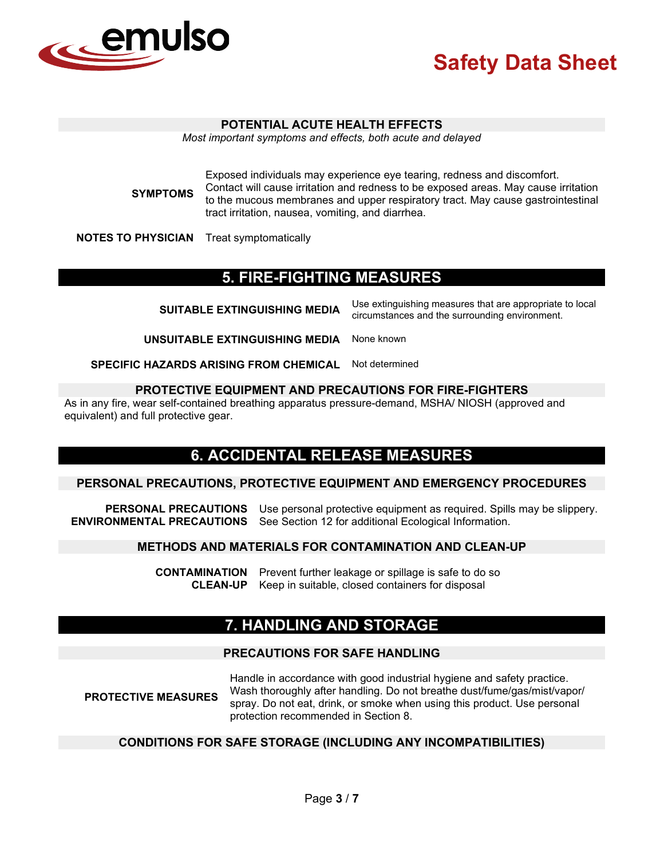

#### **POTENTIAL ACUTE HEALTH EFFECTS**

*Most important symptoms and effects, both acute and delayed*

**SYMPTOMS**

Exposed individuals may experience eye tearing, redness and discomfort. Contact will cause irritation and redness to be exposed areas. May cause irritation to the mucous membranes and upper respiratory tract. May cause gastrointestinal tract irritation, nausea, vomiting, and diarrhea.

**NOTES TO PHYSICIAN** Treat symptomatically

## **5. FIRE-FIGHTING MEASURES**

| <b>SUITABLE EXTINGUISHING MEDIA</b>           | Use extinguishing measures that are appropriate to local<br>circumstances and the surrounding environment. |
|-----------------------------------------------|------------------------------------------------------------------------------------------------------------|
| UNSUITABLE EXTINGUISHING MEDIA                | None known                                                                                                 |
| <b>SPECIFIC HAZARDS ARISING FROM CHEMICAL</b> | Not determined                                                                                             |

#### **PROTECTIVE EQUIPMENT AND PRECAUTIONS FOR FIRE-FIGHTERS**

As in any fire, wear self-contained breathing apparatus pressure-demand, MSHA/ NIOSH (approved and equivalent) and full protective gear.

## **6. ACCIDENTAL RELEASE MEASURES**

#### **PERSONAL PRECAUTIONS, PROTECTIVE EQUIPMENT AND EMERGENCY PROCEDURES**

**PERSONAL PRECAUTIONS** Use personal protective equipment as required. Spills may be slippery. **ENVIRONMENTAL PRECAUTIONS** See Section 12 for additional Ecological Information.

#### **METHODS AND MATERIALS FOR CONTAMINATION AND CLEAN-UP**

**CONTAMINATION** Prevent further leakage or spillage is safe to do so **CLEAN-UP** Keep in suitable, closed containers for disposal

## **7. HANDLING AND STORAGE**

#### **PRECAUTIONS FOR SAFE HANDLING**

**PROTECTIVE MEASURES** Handle in accordance with good industrial hygiene and safety practice. Wash thoroughly after handling. Do not breathe dust/fume/gas/mist/vapor/ spray. Do not eat, drink, or smoke when using this product. Use personal protection recommended in Section 8.

### **CONDITIONS FOR SAFE STORAGE (INCLUDING ANY INCOMPATIBILITIES)**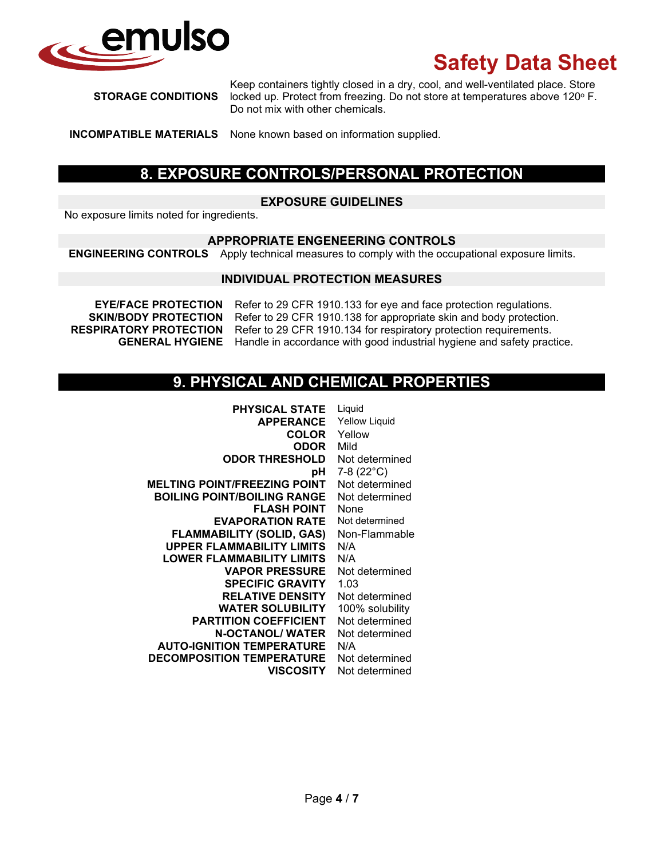

**STORAGE CONDITIONS**

Keep containers tightly closed in a dry, cool, and well-ventilated place. Store locked up. Protect from freezing. Do not store at temperatures above 120° F. Do not mix with other chemicals.

**INCOMPATIBLE MATERIALS** None known based on information supplied.

## **8. EXPOSURE CONTROLS/PERSONAL PROTECTION**

### **EXPOSURE GUIDELINES**

No exposure limits noted for ingredients.

#### **APPROPRIATE ENGENEERING CONTROLS**

**ENGINEERING CONTROLS** Apply technical measures to comply with the occupational exposure limits.

#### **INDIVIDUAL PROTECTION MEASURES**

**EYE/FACE PROTECTION** Refer to 29 CFR 1910.133 for eye and face protection regulations.<br>**SKIN/BODY PROTECTION** Refer to 29 CFR 1910.138 for appropriate skin and body protection Refer to 29 CFR 1910.138 for appropriate skin and body protection. **RESPIRATORY PROTECTION** Refer to 29 CFR 1910.134 for respiratory protection requirements. **GENERAL HYGIENE** Handle in accordance with good industrial hygiene and safety practice.

## **9. PHYSICAL AND CHEMICAL PROPERTIES**

| <b>PHYSICAL STATE</b>               | Liquid               |
|-------------------------------------|----------------------|
| <b>APPERANCE</b>                    | <b>Yellow Liquid</b> |
| <b>COLOR</b>                        | Yellow               |
| <b>ODOR</b>                         | Mild                 |
| <b>ODOR THRESHOLD</b>               | Not determined       |
| рH                                  | 7-8 $(22^{\circ}C)$  |
| <b>MELTING POINT/FREEZING POINT</b> | Not determined       |
| <b>BOILING POINT/BOILING RANGE</b>  | Not determined       |
| <b>FLASH POINT</b>                  | None                 |
| <b>EVAPORATION RATE</b>             | Not determined       |
| <b>FLAMMABILITY (SOLID, GAS)</b>    | Non-Flammable        |
| <b>UPPER FLAMMABILITY LIMITS</b>    | N/A                  |
| <b>LOWER FLAMMABILITY LIMITS</b>    | N/A                  |
| <b>VAPOR PRESSURE</b>               | Not determined       |
| <b>SPECIFIC GRAVITY</b>             | 1.03                 |
| <b>RELATIVE DENSITY</b>             | Not determined       |
| <b>WATER SOLUBILITY</b>             | 100% solubility      |
| <b>PARTITION COEFFICIENT</b>        | Not determined       |
| <b>N-OCTANOL/ WATER</b>             | Not determined       |
| <b>AUTO-IGNITION TEMPERATURE</b>    | N/A                  |
| <b>DECOMPOSITION TEMPERATURE</b>    | Not determined       |
| <b>VISCOSITY</b>                    | Not determined       |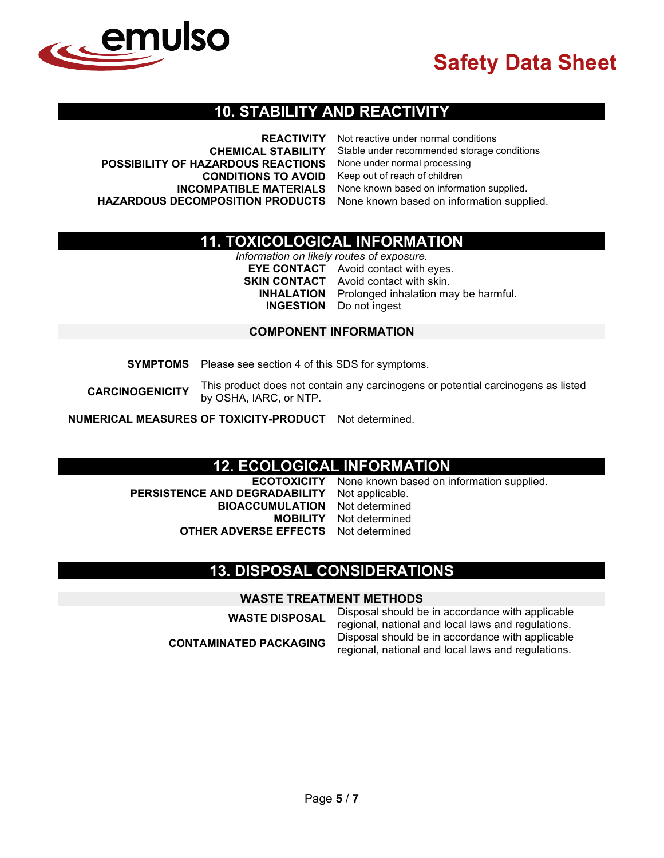

### **10. STABILITY AND REACTIVITY**

| <b>REACTIVITY</b>                                                          | Not reactive under normal conditions        |
|----------------------------------------------------------------------------|---------------------------------------------|
| <b>CHEMICAL STABILITY</b>                                                  | Stable under recommended storage conditions |
| POSSIBILITY OF HAZARDOUS REACTIONS                                         | None under normal processing                |
| <b>CONDITIONS TO AVOID</b>                                                 | Keep out of reach of children               |
| <b>INCOMPATIBLE MATERIALS</b>                                              | None known based on information supplied.   |
| HAZARDOUS DECOMPOSITION PRODUCTS None known based on information supplied. |                                             |

## **11. TOXICOLOGICAL INFORMATION**

*Information on likely routes of exposure.* **EYE CONTACT** Avoid contact with eyes. **SKIN CONTACT** Avoid contact with skin.<br>**INHALATION** Prolonged inhalation ma Prolonged inhalation may be harmful. **INGESTION** Do not ingest

#### **COMPONENT INFORMATION**

**SYMPTOMS** Please see section 4 of this SDS for symptoms.

**CARCINOGENICITY** This product does not contain any carcinogens or potential carcinogens as listed by OSHA, IARC, or NTP.

**NUMERICAL MEASURES OF TOXICITY-PRODUCT** Not determined.

# **12. ECOLOGICAL INFORMATION**<br>**ECOTOXICITY** None known based on i

**PERSISTENCE AND DEGRADABILITY BIOACCUMULATION** Not determined **OTHER ADVERSE EFFECTS** Not determined

None known based on information supplied.<br>Not applicable. **Not determined** 

## **13. DISPOSAL CONSIDERATIONS**

#### **WASTE TREATMENT METHODS**

**WASTE DISPOSAL** Disposal should be in accordance with applicable regional, national and local laws and regulations. **CONTAMINATED PACKAGING** Disposal should be in accordance with applicable regional, national and local laws and regulations.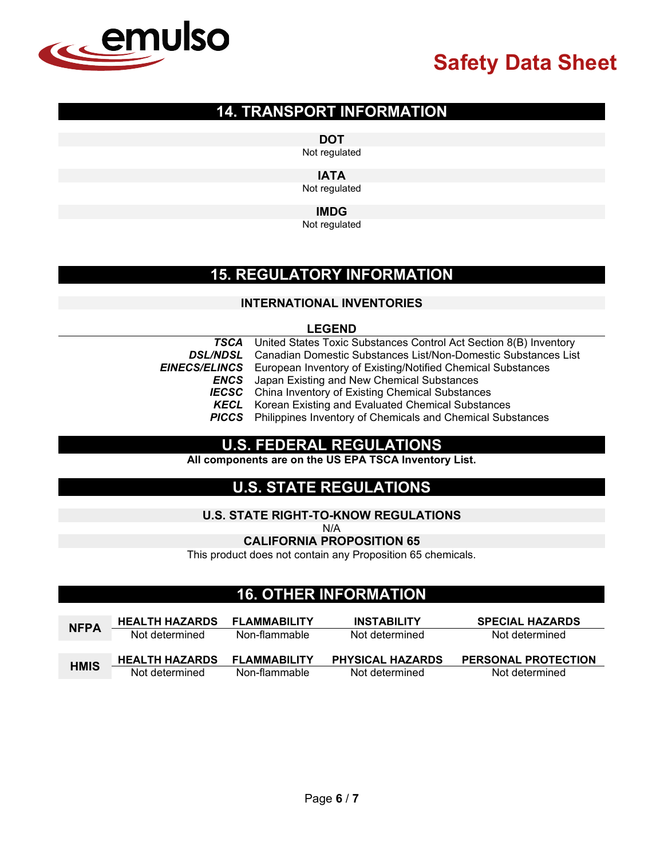

## **14. TRANSPORT INFORMATION**

**DOT**

Not regulated

**IATA**

Not regulated

#### **IMDG**

Not regulated

## **15. REGULATORY INFORMATION**

### **INTERNATIONAL INVENTORIES**

### **LEGEND**

|                 | <b>TSCA</b> United States Toxic Substances Control Act Section 8(B) Inventory    |
|-----------------|----------------------------------------------------------------------------------|
| <b>DSL/NDSL</b> | Canadian Domestic Substances List/Non-Domestic Substances List                   |
|                 | <b>EINECS/ELINCS</b> European Inventory of Existing/Notified Chemical Substances |
|                 | <b>ENCS</b> Japan Existing and New Chemical Substances                           |
|                 | <b>IECSC</b> China Inventory of Existing Chemical Substances                     |
| KECL            | Korean Existing and Evaluated Chemical Substances                                |
|                 | <b>PICCS</b> Philippines Inventory of Chemicals and Chemical Substances          |

## **U.S. FEDERAL REGULATIONS**

**All components are on the US EPA TSCA Inventory List.**

## **U.S. STATE REGULATIONS**

#### **U.S. STATE RIGHT-TO-KNOW REGULATIONS**

N/A

**CALIFORNIA PROPOSITION 65**

This product does not contain any Proposition 65 chemicals.

## **16. OTHER INFORMATION**

| <b>NFPA</b> | <b>HEALTH HAZARDS</b> | <b>FLAMMABILITY</b> | <b>INSTABILITY</b>      | <b>SPECIAL HAZARDS</b>     |
|-------------|-----------------------|---------------------|-------------------------|----------------------------|
|             | Not determined        | Non-flammable       | Not determined          | Not determined             |
|             |                       |                     |                         |                            |
|             |                       |                     |                         |                            |
| <b>HMIS</b> | <b>HEALTH HAZARDS</b> | <b>FLAMMABILITY</b> | <b>PHYSICAL HAZARDS</b> | <b>PERSONAL PROTECTION</b> |